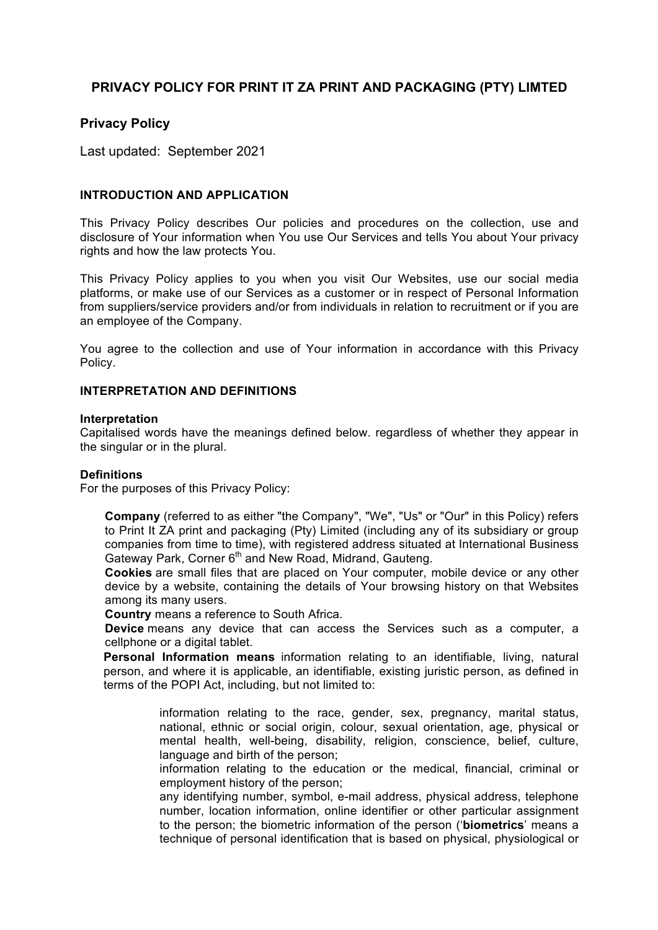# **PRIVACY POLICY FOR PRINT IT ZA PRINT AND PACKAGING (PTY) LIMTED**

# **Privacy Policy**

Last updated: September 2021

## **INTRODUCTION AND APPLICATION**

This Privacy Policy describes Our policies and procedures on the collection, use and disclosure of Your information when You use Our Services and tells You about Your privacy rights and how the law protects You.

This Privacy Policy applies to you when you visit Our Websites, use our social media platforms, or make use of our Services as a customer or in respect of Personal Information from suppliers/service providers and/or from individuals in relation to recruitment or if you are an employee of the Company.

You agree to the collection and use of Your information in accordance with this Privacy Policy.

#### **INTERPRETATION AND DEFINITIONS**

#### **Interpretation**

Capitalised words have the meanings defined below. regardless of whether they appear in the singular or in the plural.

#### **Definitions**

For the purposes of this Privacy Policy:

 **Company** (referred to as either "the Company", "We", "Us" or "Our" in this Policy) refers to Print It ZA print and packaging (Pty) Limited (including any of its subsidiary or group companies from time to time), with registered address situated at International Business Gateway Park, Corner 6<sup>th</sup> and New Road, Midrand, Gauteng.

 **Cookies** are small files that are placed on Your computer, mobile device or any other device by a website, containing the details of Your browsing history on that Websites among its many users.

**Country** means a reference to South Africa.

 **Device** means any device that can access the Services such as a computer, a cellphone or a digital tablet.

 **Personal Information means** information relating to an identifiable, living, natural person, and where it is applicable, an identifiable, existing juristic person, as defined in terms of the POPI Act, including, but not limited to:

> information relating to the race, gender, sex, pregnancy, marital status, national, ethnic or social origin, colour, sexual orientation, age, physical or mental health, well-being, disability, religion, conscience, belief, culture, language and birth of the person;

> information relating to the education or the medical, financial, criminal or employment history of the person;

> any identifying number, symbol, e-mail address, physical address, telephone number, location information, online identifier or other particular assignment to the person; the biometric information of the person ('**biometrics**' means a technique of personal identification that is based on physical, physiological or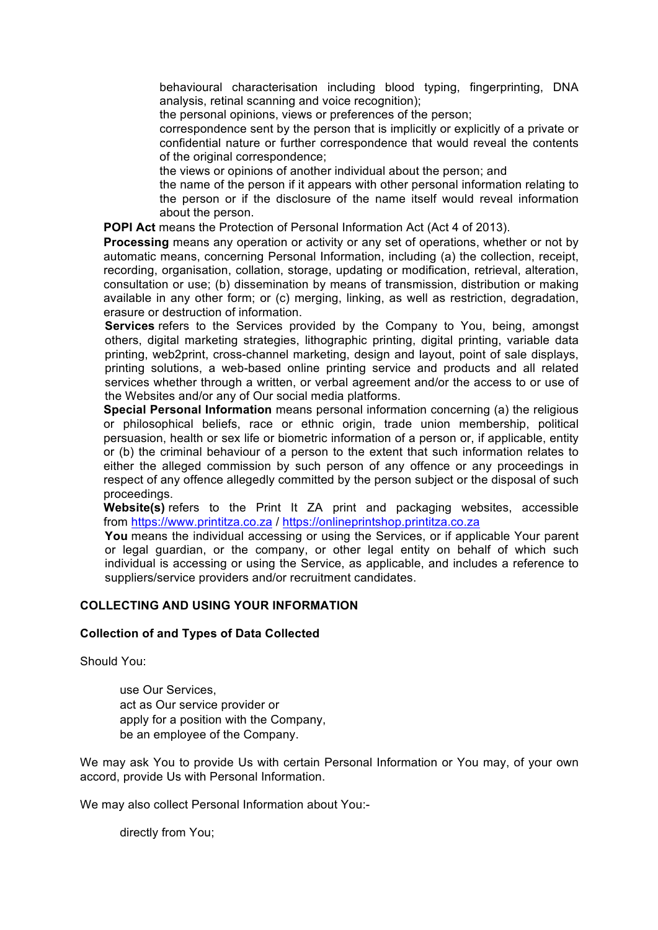behavioural characterisation including blood typing, fingerprinting, DNA analysis, retinal scanning and voice recognition);

the personal opinions, views or preferences of the person;

 correspondence sent by the person that is implicitly or explicitly of a private or confidential nature or further correspondence that would reveal the contents of the original correspondence;

- the views or opinions of another individual about the person; and
- the name of the person if it appears with other personal information relating to the person or if the disclosure of the name itself would reveal information about the person.

**POPI Act** means the Protection of Personal Information Act (Act 4 of 2013).

 **Processing** means any operation or activity or any set of operations, whether or not by automatic means, concerning Personal Information, including (a) the collection, receipt, recording, organisation, collation, storage, updating or modification, retrieval, alteration, consultation or use; (b) dissemination by means of transmission, distribution or making available in any other form; or (c) merging, linking, as well as restriction, degradation, erasure or destruction of information.

 **Services** refers to the Services provided by the Company to You, being, amongst others, digital marketing strategies, lithographic printing, digital printing, variable data printing, web2print, cross-channel marketing, design and layout, point of sale displays, printing solutions, a web-based online printing service and products and all related services whether through a written, or verbal agreement and/or the access to or use of the Websites and/or any of Our social media platforms.

 **Special Personal Information** means personal information concerning (a) the religious or philosophical beliefs, race or ethnic origin, trade union membership, political persuasion, health or sex life or biometric information of a person or, if applicable, entity or (b) the criminal behaviour of a person to the extent that such information relates to either the alleged commission by such person of any offence or any proceedings in respect of any offence allegedly committed by the person subject or the disposal of such proceedings.

 **Website(s)** refers to the Print It ZA print and packaging websites, accessible from https://www.printitza.co.za / https://onlineprintshop.printitza.co.za

 **You** means the individual accessing or using the Services, or if applicable Your parent or legal guardian, or the company, or other legal entity on behalf of which such individual is accessing or using the Service, as applicable, and includes a reference to suppliers/service providers and/or recruitment candidates.

## **COLLECTING AND USING YOUR INFORMATION**

#### **Collection of and Types of Data Collected**

Should You:

 use Our Services, act as Our service provider or apply for a position with the Company, be an employee of the Company.

We may ask You to provide Us with certain Personal Information or You may, of your own accord, provide Us with Personal Information.

We may also collect Personal Information about You:-

directly from You;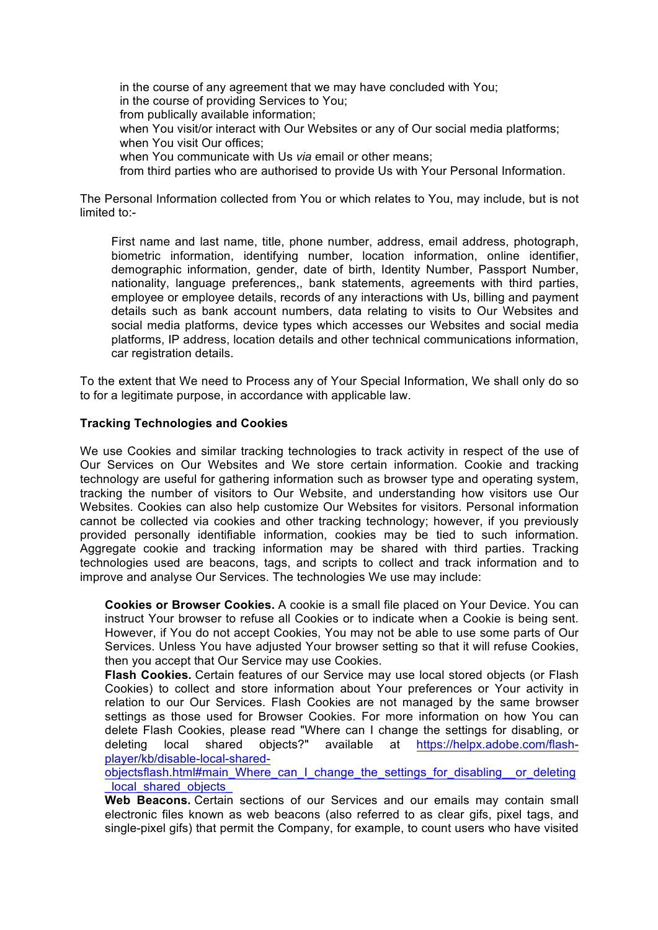in the course of any agreement that we may have concluded with You; in the course of providing Services to You; from publically available information; when You visit/or interact with Our Websites or any of Our social media platforms; when You visit Our offices: when You communicate with Us *via* email or other means; from third parties who are authorised to provide Us with Your Personal Information.

The Personal Information collected from You or which relates to You, may include, but is not limited to:-

 First name and last name, title, phone number, address, email address, photograph, biometric information, identifying number, location information, online identifier, demographic information, gender, date of birth, Identity Number, Passport Number, nationality, language preferences,, bank statements, agreements with third parties, employee or employee details, records of any interactions with Us, billing and payment details such as bank account numbers, data relating to visits to Our Websites and social media platforms, device types which accesses our Websites and social media platforms, IP address, location details and other technical communications information, car registration details.

To the extent that We need to Process any of Your Special Information, We shall only do so to for a legitimate purpose, in accordance with applicable law.

#### **Tracking Technologies and Cookies**

We use Cookies and similar tracking technologies to track activity in respect of the use of Our Services on Our Websites and We store certain information. Cookie and tracking technology are useful for gathering information such as browser type and operating system, tracking the number of visitors to Our Website, and understanding how visitors use Our Websites. Cookies can also help customize Our Websites for visitors. Personal information cannot be collected via cookies and other tracking technology; however, if you previously provided personally identifiable information, cookies may be tied to such information. Aggregate cookie and tracking information may be shared with third parties. Tracking technologies used are beacons, tags, and scripts to collect and track information and to improve and analyse Our Services. The technologies We use may include:

 **Cookies or Browser Cookies.** A cookie is a small file placed on Your Device. You can instruct Your browser to refuse all Cookies or to indicate when a Cookie is being sent. However, if You do not accept Cookies, You may not be able to use some parts of Our Services. Unless You have adjusted Your browser setting so that it will refuse Cookies, then you accept that Our Service may use Cookies.

 **Flash Cookies.** Certain features of our Service may use local stored objects (or Flash Cookies) to collect and store information about Your preferences or Your activity in relation to our Our Services. Flash Cookies are not managed by the same browser settings as those used for Browser Cookies. For more information on how You can delete Flash Cookies, please read "Where can I change the settings for disabling, or deleting local shared objects?" available at https://helpx.adobe.com/flashplayer/kb/disable-local-shared-

objectsflash.html#main\_Where\_can\_I\_change\_the\_settings\_for\_disabling\_\_or\_deleting local shared objects

 **Web Beacons.** Certain sections of our Services and our emails may contain small electronic files known as web beacons (also referred to as clear gifs, pixel tags, and single-pixel gifs) that permit the Company, for example, to count users who have visited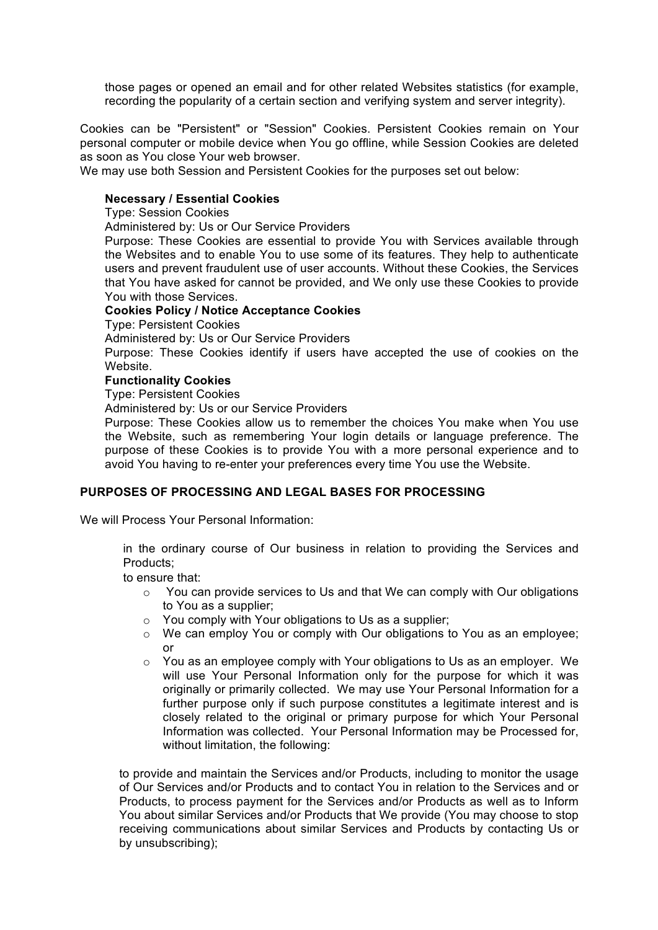those pages or opened an email and for other related Websites statistics (for example, recording the popularity of a certain section and verifying system and server integrity).

Cookies can be "Persistent" or "Session" Cookies. Persistent Cookies remain on Your personal computer or mobile device when You go offline, while Session Cookies are deleted as soon as You close Your web browser.

We may use both Session and Persistent Cookies for the purposes set out below:

## **Necessary / Essential Cookies**

Type: Session Cookies

Administered by: Us or Our Service Providers

Purpose: These Cookies are essential to provide You with Services available through the Websites and to enable You to use some of its features. They help to authenticate users and prevent fraudulent use of user accounts. Without these Cookies, the Services that You have asked for cannot be provided, and We only use these Cookies to provide You with those Services.

## **Cookies Policy / Notice Acceptance Cookies**

Type: Persistent Cookies

Administered by: Us or Our Service Providers

Purpose: These Cookies identify if users have accepted the use of cookies on the Website.

#### **Functionality Cookies**

Type: Persistent Cookies

Administered by: Us or our Service Providers

Purpose: These Cookies allow us to remember the choices You make when You use the Website, such as remembering Your login details or language preference. The purpose of these Cookies is to provide You with a more personal experience and to avoid You having to re-enter your preferences every time You use the Website.

# **PURPOSES OF PROCESSING AND LEGAL BASES FOR PROCESSING**

We will Process Your Personal Information:

 in the ordinary course of Our business in relation to providing the Services and Products;

to ensure that:

- o You can provide services to Us and that We can comply with Our obligations to You as a supplier;
- o You comply with Your obligations to Us as a supplier;
- o We can employ You or comply with Our obligations to You as an employee; or
- o You as an employee comply with Your obligations to Us as an employer. We will use Your Personal Information only for the purpose for which it was originally or primarily collected. We may use Your Personal Information for a further purpose only if such purpose constitutes a legitimate interest and is closely related to the original or primary purpose for which Your Personal Information was collected. Your Personal Information may be Processed for, without limitation, the following:

 to provide and maintain the Services and/or Products, including to monitor the usage of Our Services and/or Products and to contact You in relation to the Services and or Products, to process payment for the Services and/or Products as well as to Inform You about similar Services and/or Products that We provide (You may choose to stop receiving communications about similar Services and Products by contacting Us or by unsubscribing);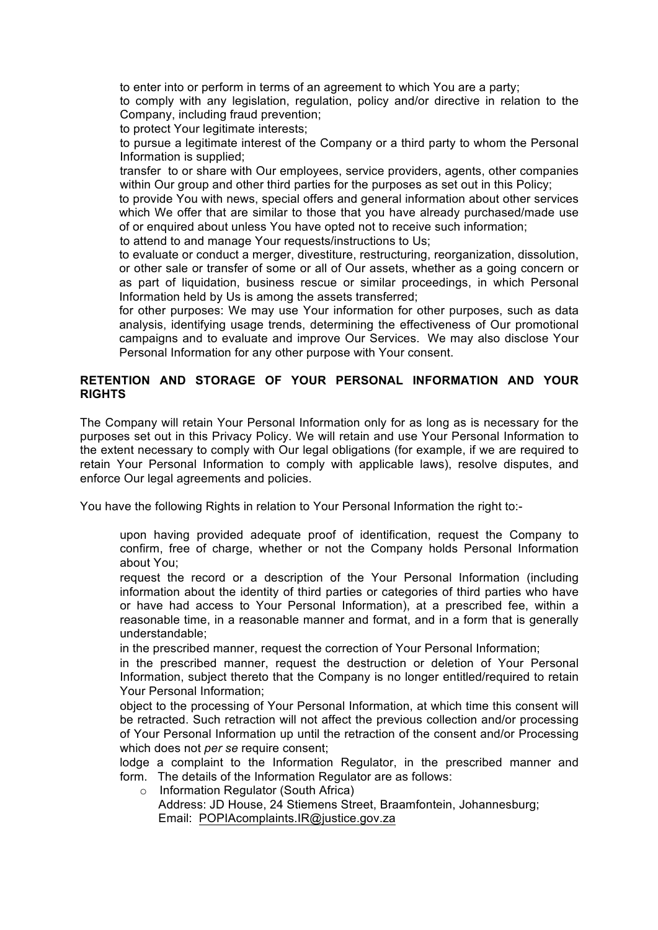to enter into or perform in terms of an agreement to which You are a party;

 to comply with any legislation, regulation, policy and/or directive in relation to the Company, including fraud prevention;

to protect Your legitimate interests;

 to pursue a legitimate interest of the Company or a third party to whom the Personal Information is supplied;

 transfer to or share with Our employees, service providers, agents, other companies within Our group and other third parties for the purposes as set out in this Policy;

 to provide You with news, special offers and general information about other services which We offer that are similar to those that you have already purchased/made use of or enquired about unless You have opted not to receive such information;

to attend to and manage Your requests/instructions to Us;

 to evaluate or conduct a merger, divestiture, restructuring, reorganization, dissolution, or other sale or transfer of some or all of Our assets, whether as a going concern or as part of liquidation, business rescue or similar proceedings, in which Personal Information held by Us is among the assets transferred;

 for other purposes: We may use Your information for other purposes, such as data analysis, identifying usage trends, determining the effectiveness of Our promotional campaigns and to evaluate and improve Our Services. We may also disclose Your Personal Information for any other purpose with Your consent.

# **RETENTION AND STORAGE OF YOUR PERSONAL INFORMATION AND YOUR RIGHTS**

The Company will retain Your Personal Information only for as long as is necessary for the purposes set out in this Privacy Policy. We will retain and use Your Personal Information to the extent necessary to comply with Our legal obligations (for example, if we are required to retain Your Personal Information to comply with applicable laws), resolve disputes, and enforce Our legal agreements and policies.

You have the following Rights in relation to Your Personal Information the right to:-

 upon having provided adequate proof of identification, request the Company to confirm, free of charge, whether or not the Company holds Personal Information about You;

 request the record or a description of the Your Personal Information (including information about the identity of third parties or categories of third parties who have or have had access to Your Personal Information), at a prescribed fee, within a reasonable time, in a reasonable manner and format, and in a form that is generally understandable;

in the prescribed manner, request the correction of Your Personal Information;

 in the prescribed manner, request the destruction or deletion of Your Personal Information, subject thereto that the Company is no longer entitled/required to retain Your Personal Information;

 object to the processing of Your Personal Information, at which time this consent will be retracted. Such retraction will not affect the previous collection and/or processing of Your Personal Information up until the retraction of the consent and/or Processing which does not *per se* require consent;

 lodge a complaint to the Information Regulator, in the prescribed manner and form. The details of the Information Regulator are as follows:

- o Information Regulator (South Africa)
	- Address: JD House, 24 Stiemens Street, Braamfontein, Johannesburg; Email: POPIAcomplaints.IR@justice.gov.za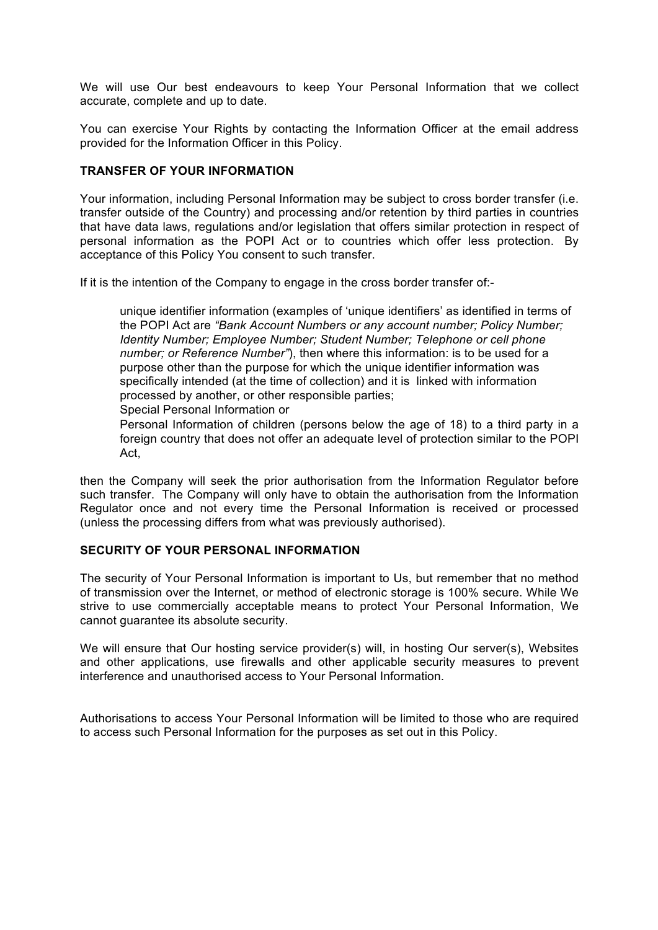We will use Our best endeavours to keep Your Personal Information that we collect accurate, complete and up to date.

You can exercise Your Rights by contacting the Information Officer at the email address provided for the Information Officer in this Policy.

## **TRANSFER OF YOUR INFORMATION**

Your information, including Personal Information may be subject to cross border transfer (i.e. transfer outside of the Country) and processing and/or retention by third parties in countries that have data laws, regulations and/or legislation that offers similar protection in respect of personal information as the POPI Act or to countries which offer less protection. By acceptance of this Policy You consent to such transfer.

If it is the intention of the Company to engage in the cross border transfer of:-

 unique identifier information (examples of 'unique identifiers' as identified in terms of the POPI Act are *"Bank Account Numbers or any account number; Policy Number; Identity Number; Employee Number; Student Number; Telephone or cell phone number; or Reference Number"*), then where this information: is to be used for a purpose other than the purpose for which the unique identifier information was specifically intended (at the time of collection) and it is linked with information processed by another, or other responsible parties;

Special Personal Information or

 Personal Information of children (persons below the age of 18) to a third party in a foreign country that does not offer an adequate level of protection similar to the POPI Act,

then the Company will seek the prior authorisation from the Information Regulator before such transfer. The Company will only have to obtain the authorisation from the Information Regulator once and not every time the Personal Information is received or processed (unless the processing differs from what was previously authorised).

# **SECURITY OF YOUR PERSONAL INFORMATION**

The security of Your Personal Information is important to Us, but remember that no method of transmission over the Internet, or method of electronic storage is 100% secure. While We strive to use commercially acceptable means to protect Your Personal Information, We cannot guarantee its absolute security.

We will ensure that Our hosting service provider(s) will, in hosting Our server(s), Websites and other applications, use firewalls and other applicable security measures to prevent interference and unauthorised access to Your Personal Information.

Authorisations to access Your Personal Information will be limited to those who are required to access such Personal Information for the purposes as set out in this Policy.